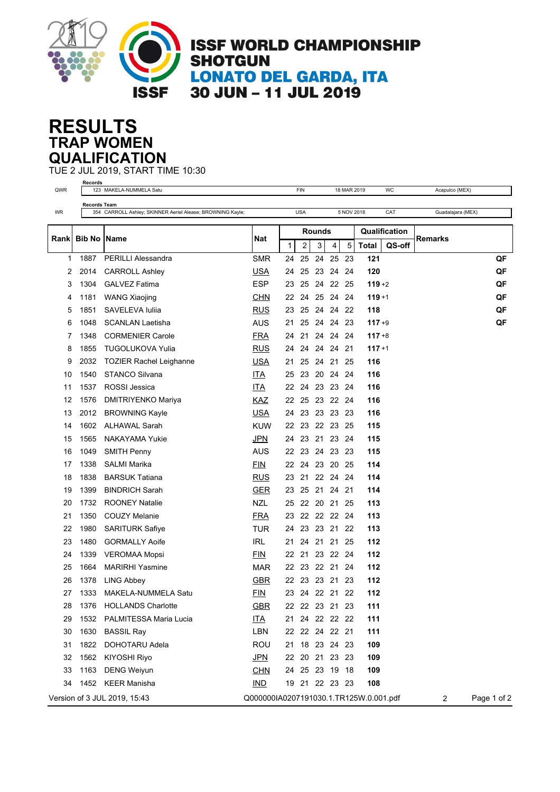

## **TRAP WOMEN RESULTS QUALIFICATION**

TUE 2 JUL 2019, START TIME 10:30

| QWR  | Records             | 123 MAKELA-NUMMELA Satu                                    |                                        |        | FIN            |          |             | 18 MAR 2019 |              | WC            | Acapulco (MEX)    |             |
|------|---------------------|------------------------------------------------------------|----------------------------------------|--------|----------------|----------|-------------|-------------|--------------|---------------|-------------------|-------------|
|      | <b>Records Team</b> |                                                            |                                        |        |                |          |             |             |              |               |                   |             |
| WR   |                     | 354 CARROLL Ashley; SKINNER Aeriel Alease; BROWNING Kayle; |                                        |        | <b>USA</b>     |          |             | 5 NOV 2018  |              | CAT           | Guadalajara (MEX) |             |
|      | <b>Bib No</b>       |                                                            | Nat                                    | Rounds |                |          |             |             |              | Qualification |                   |             |
| Rank |                     | Name                                                       |                                        | 1      | 2              | 3        | 4           | 5           | <b>Total</b> | QS-off        | Remarks           |             |
| 1    | 1887                | <b>PERILLI Alessandra</b>                                  | <b>SMR</b>                             | 24     | 25             | 24       | 25          | 23          | 121          |               |                   | QF          |
| 2    | 2014                | <b>CARROLL Ashley</b>                                      | <b>USA</b>                             | 24     | 25             | 23       | 24 24       |             | 120          |               |                   | QF          |
| 3    | 1304                | <b>GALVEZ Fatima</b>                                       | <b>ESP</b>                             | 23     | 25             |          | 24 22 25    |             | $119 + 2$    |               |                   | QF          |
| 4    | 1181                | <b>WANG Xiaojing</b>                                       | <b>CHN</b>                             | 22     | 24             | 25       | 24 24       |             | $119 + 1$    |               |                   | QF          |
| 5    | 1851                | SAVELEVA Iuliia                                            | <b>RUS</b>                             | 23     | 25             |          | 24 24 22    |             | 118          |               |                   | QF          |
| 6    | 1048                | <b>SCANLAN Laetisha</b>                                    | <b>AUS</b>                             | 21     | 25             |          | 24 24 23    |             | $117 + 9$    |               |                   | QF          |
| 7    | 1348                | <b>CORMENIER Carole</b>                                    | <b>FRA</b>                             | 24     | 21             |          | 24 24 24    |             | $117 + 8$    |               |                   |             |
| 8    | 1855                | <b>TUGOLUKOVA Yulia</b>                                    | <b>RUS</b>                             | 24     | 24             | 24       | 24          | 21          | $117 + 1$    |               |                   |             |
| 9    | 2032                | <b>TOZIER Rachel Leighanne</b>                             | <u>USA</u>                             | 21     | 25             | 24 21    |             | 25          | 116          |               |                   |             |
| 10   | 1540                | <b>STANCO Silvana</b>                                      | <b>ITA</b>                             | 25     | 23             |          | 20 24 24    |             | 116          |               |                   |             |
| 11   | 1537                | ROSSI Jessica                                              | ITA                                    | 22     | 24             |          | 23 23 24    |             | 116          |               |                   |             |
| 12   | 1576                | <b>DMITRIYENKO Mariya</b>                                  | <b>KAZ</b>                             | 22     | 25             |          | 23 22 24    |             | 116          |               |                   |             |
| 13   | 2012                | <b>BROWNING Kayle</b>                                      | <b>USA</b>                             | 24     | 23             |          | 23 23 23    |             | 116          |               |                   |             |
| 14   | 1602                | <b>ALHAWAL Sarah</b>                                       | <b>KUW</b>                             |        | 22 23          |          | 22 23 25    |             | 115          |               |                   |             |
| 15   | 1565                | NAKAYAMA Yukie                                             | JPN                                    | 24     | 23             | 21       | 23          | -24         | 115          |               |                   |             |
| 16   | 1049                | <b>SMITH Penny</b>                                         | <b>AUS</b>                             | 22     | 23             | 24       | 23          | -23         | 115          |               |                   |             |
| 17   | 1338                | <b>SALMI Marika</b>                                        | <b>FIN</b>                             | 22     | 24             |          | 23 20 25    |             | 114          |               |                   |             |
| 18   | 1838                | <b>BARSUK Tatiana</b>                                      | <b>RUS</b>                             | 23     | 21             |          | 22 24 24    |             | 114          |               |                   |             |
| 19   | 1399                | <b>BINDRICH Sarah</b>                                      | <b>GER</b>                             | 23     | 25             | 21       | 24          | -21         | 114          |               |                   |             |
| 20   | 1732                | <b>ROONEY Natalie</b>                                      | <b>NZL</b>                             | 25     | 22             |          | 20 21       | 25          | 113          |               |                   |             |
| 21   | 1350                | <b>COUZY Melanie</b>                                       | <b>FRA</b>                             | 23     |                |          | 22 22 22 24 |             | 113          |               |                   |             |
| 22   | 1980                | <b>SARITURK Safiye</b>                                     | <b>TUR</b>                             | 24     | 23             | 23       | 21          | 22          | 113          |               |                   |             |
| 23   | 1480                | <b>GORMALLY Aoife</b>                                      | <b>IRL</b>                             | 21     | 24             | 21       | 21          | 25          | 112          |               |                   |             |
| 24   | 1339                | <b>VEROMAA Mopsi</b>                                       | <b>FIN</b>                             | 22     | 21             |          | 23 22 24    |             | 112          |               |                   |             |
| 25   | 1664                | <b>MARIRHI Yasmine</b>                                     | <b>MAR</b>                             | 22     |                | 23 22 21 |             | -24         | 112          |               |                   |             |
| 26   | 1378                | LING Abbey                                                 | <b>GBR</b>                             | 22     | 23             | 23 21    |             | 23          | 112          |               |                   |             |
| 27   | 1333                | MAKELA-NUMMELA Satu                                        | EIN                                    | 23     |                | 24 22 21 |             | - 22        | 112          |               |                   |             |
| 28   | 1376                | <b>HOLLANDS Charlotte</b>                                  | GBR                                    |        | 22 22 23 21 23 |          |             |             | 111          |               |                   |             |
| 29   | 1532                | PALMITESSA Maria Lucia                                     | <b>ITA</b>                             | 21     |                |          | 24 22 22 22 |             | 111          |               |                   |             |
| 30   | 1630                | <b>BASSIL Ray</b>                                          | LBN                                    |        | 22 22 24 22 21 |          |             |             | 111          |               |                   |             |
| 31   | 1822                | DOHOTARU Adela                                             | ROU                                    |        | 21 18 23 24 23 |          |             |             | 109          |               |                   |             |
| 32   | 1562                | KIYOSHI Riyo                                               | <b>JPN</b>                             |        | 22 20 21 23 23 |          |             |             | 109          |               |                   |             |
| 33   | 1163                | <b>DENG Weiyun</b>                                         | <b>CHN</b>                             |        | 24 25 23 19 18 |          |             |             | 109          |               |                   |             |
| 34   |                     | 1452 KEER Manisha                                          | $IND$                                  |        | 19 21 22 23 23 |          |             |             | 108          |               |                   |             |
|      |                     | Version of 3 JUL 2019, 15:43                               | Q000000IA0207191030.1.TR125W.0.001.pdf |        |                |          |             |             |              |               | $\overline{c}$    | Page 1 of 2 |